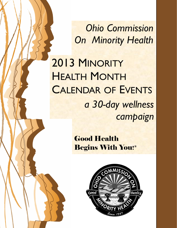*Ohio Commission On Minority Health*

2013 MINORITY HEALTH MONTH CALENDAR OF EVENTS *a 30-day wellness campaign*

> Good Health Begins With You! ®

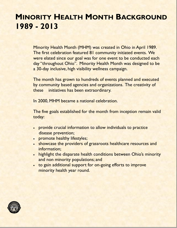## **MINORITY HEALTH MONTH BACKGROUND 1989 - 2013**

Minority Health Month (MHM) was created in Ohio in April 1989. The first celebration featured 81 community initiated events. We were elated since our goal was for one event to be conducted each day "throughout Ohio". Minority Health Month was designed to be a 30-day inclusive, high visibility wellness campaign.

The month has grown to hundreds of events planned and executed by community based agencies and organizations. The creativity of these initiatives has been extraordinary.

In 2000, MHM became a national celebration.

The five goals established for the month from inception remain valid today:

- provide crucial information to allow individuals to practice disease prevention;
- promote healthy lifestyles;
- showcase the providers of grassroots healthcare resources and information;
- highlight the disparate health conditions between Ohio's minority and non minority populations; and
- to gain additional support for on-going efforts to improve minority health year round.

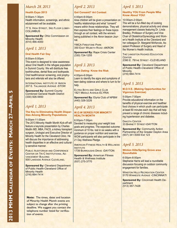### *March 28, 2013*

### **Health Expo 2013**

9:00am-1:30pm Health information, screenings, and ethnic edutainment will be available.

77 S. HIGH STREET, 3RD FLOOR LOBBY-**COLUMBUS** 

**Sponsored By:** Ohio Commission on Minority Health (614) 466-4000

### *April 1, 2013*

### **Oral Health Fair Day**

#### 8:00am-5:00pm

This event is designed to raise awareness about Oral Health in the refugee population in Summit County. We will distribute free toothbrushes, dental floss and toothpaste. Oral health/cancer screening, oral prophylaxis and referrals will also be offered.

INTERNATIONAL INSTITUTE OF AKRON 207 E. TALLMADGE AVENUE -STOW

**Sponsored By:** Summit County Combined General Health District (330) 926-5650

### *April 1, 2013*

#### **The Key to Eliminating Health Disparities Among Minority Populations**

9:00am-11:00am

The 2013 Minority Health Month Kick-off will feature a keynote presentation by Charles Modlin MD, MBA, FACS, a kidney transplant surgeon, Urologist and Executive Director of Minority Health for the Cleveland Clinic. He will discuss the importance of addressing health disparities in an effective and culturally-sensitive manner.

PUBLIC AUDITORIUM AND CONFERENCE CENTER OR TRI-C INSTITUTIONAL AD-VANCEMENT BUILDING 500 LAKESIDE AVENUE CLEVELAND,

**Sponsored By:** Cleveland Department of Public Health-Cleveland Office of **Minority Health** (216) 664-7414

**Note:** The times, dates and location of Minority Health Month events are subject to change after the printing deadline. We suggest you contact the telephone number listed for verification of events.

### *April 2, 2013*

### **Got Consent? Art Contest**

#### 4:00pm-6:00pm

Area children will be given a presentation on healthy relationships and what "consent" means within those relationships. They will then express their feelings on these topics through an art contest, with the winners being published in the Akron beacon Journal.

YMCA FIRESTONE PARK 350 EAST WILBETH ROAD -AKRON

**Sponsored By:** Rape Crisis Center (330) 724-1255

### *April 3, 2013*

#### **Teen Dating: Know the Risk**

4:00pm-6:00pm Learn to identify the signs and symptoms of teen dating violence and where to turn to for help.

ELYRIA BOYS AND GIRLS CLUB 1821 MIDDLE AVENUE-ELYRIA

**Sponsored By:** Elyria Club of NPBW (440) 328-3226

### *April 4, 2013*

#### **W.O.W SERIES FOR MINORTY HEALTH MONTH**

6:00pm-7:00pm Devoted to measuring your weight loss goals and progress. The expected outcome: minimum of 10 lbs. lost in six weeks with a guidance on proper nutrition and exercise. WOW participants will also participate in the 21 Day Wellness Pledge.

**AMERICAN FITNESS HEALTH & WELLNESS INSTITUTE** 1739 BURROUGHS DRIVE -DAYTON

**Sponsored By:** American Fitness Health & Wellness Institute (937) 275-3770

### *April 5, 2013*

#### **Healthy YOU From People Who Know About YOU!**

#### 10:00am-2:00pm

This will be a fun-filled day of cooking demonstrations, physical activity and stress management classes featuring Dr. Linda Bradley, Professor of Surgery and Vice Chair of Obstetrics/Gynecology and Women's Health Institute at the Cleveland and her colleague Dr. Margaret McKenzie, Assistant Professor of Surgery and Head of the Women's Health Institute.

**THE LANGSTON HUGHES EDUCATION CENTER** 

2390 E. 79THE STREET -CLEVELAND

**Sponsored By:** Cleveland Department of Public Health-Cleveland Office of **Minority** (216) 664-7414

### *April 5, 2013*

#### **M.O.V.E. (Making Opportunities for Vigorous Exercise)**

### 5:00pm-7:00pm

Provide educational information on the benefits of physical exercise and healthier food choices in which youth can participate at least 60 minutes each day that will help prevent a range of chronic diseases including hypertension and diabetes.

DAKOTA CENTER 33 BARNETT STREET-DAYTON

**Sponsored By: Community Action** Partnership of the Greater Dayton Area (937) 341-5000 Ext 123

### *April 5, 2013*

#### **Winton Hills/Spring Grove area Roundtable**

6:00pm-8:00pm Stephanie Harris will lead a roundtable discussion focusing on outdoor community engagement for families.

**WINSTON HILLS RECREATION CENTER** 5170 WINNESTE AVENUE -CINCINNATI

**Sponsored By:** Cincinnati Health Department (513) 357-7428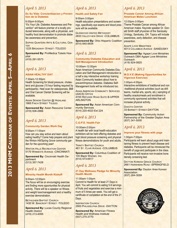### *April 5, 2013*

**Es Su Vida: Concientizacion y Prevention de la Diabetes**

#### 6:00pm-9:00pm

"It's Your Life: Diabetes Awareness and Prevention" will feature premier of a locally produced telenovela, along with a physician, and healthy food demonstration to promote diabetes awareness and prevention.

SOPHIA QUINTERA ARTS & CULTURAL CEN-TER

1225 BROADWAY STREET -TOLEDO

**Sponsored By:** ProMedica Toledo Hospital

(419) 291-5573

### *April 6, 2013*

#### **ASIAN HEALTHY DAY**

7:30am-12:30pm

Health Screening for blood pressure, cholesterol and glucose (10 hour fasting required by participants). Heel scan for osteoporosis, BMI and Oral Cancer/ Dental Screening will be available.

ASIAN SENIOR CENTER @ HIGHLAND 1865 FINCH STREET TOLEDO

**Sponsored By: Asian Resource Center** (419) 936-2866

### *April 6, 2013*

#### **Community Garden Work Day**

#### 9:00am-11:00am

How can you stay active and learn about eating healthy? Come help prepare and plant the Winton Hill/Spring Grove community garden for the upcoming year!

**WINTON HILLS RECREATION CENTER** 5170 WINNESTE AVENUE -CINCINNATI

**Sponsored By:** Cincinnati Health Department (513) 357-7428

### *April 6, 2013*

#### **Minority Health Month Kickoff**

#### 9:00am-12:00pm

The focus will be on encouraging exercise and finding more opportunities for physical activity. There will be a speaker on fitness and weight loss/management and a healthy exercise demonstration.

**BETHLEHEM BAPTIST CHURCH** 1430 W. BANCROFT STREET -TOLEDO

**Sponsored By: Lucas County Regional Health District** (419) 213-4095

### *April 6, 2013*

#### **Health and Safety Fair**

9:00am-3:00pm Health education presentations and screenings, specifically eye exams and blood pressure will be available.

**GLENWOOD UNITED METHODIST** 2833 VALLEYVIEW DRIVE -COLUMBUS

**Sponsored By:** Ohio Hispanic Coalition (614) 840-9934

### *April 6, 2013*

**Community Diabetes Education and Self-Management Introduction**

#### 10:00am-12:00pm

Asian American Community Diabetes Education and Self-Management introduction is a half a day interactive workshop training Asian Community leaders about how to prevent/Improve diabetes. Diabetes Self-Management tools will be introduced too.

**ASIAN AMERICAN COMMUNITY SERVICES** (AACS) OFFICE 4700 REFUGEE ROAD SUITE B-UPPER ARLINGTON

**Sponsored By:** Asian American Community Services (614) 220-4023 Ext 224

### *April 6, 2013*

### **C.O.P.E. Health Fair**

#### 10:00am-2:00pm

A health fair with local health education exhibitors will be held offering diabetes and high blood pressure screening and physical fitness demonstrations for youth and adults.

TRINITY BAPTIST CHURCH 461 ST. CLAIR AVENUE -COLUMBUS

**Sponsored By:** Columbus Coalition of 100 Black Women, Inc. (614) 573-6917

### *April 6, 2013*

#### **21 Day Wellness Pledge for Minority Health Month**

### 11:00am-1:00pm

Commit to Health for at least 21 Days in April. You will commit to eating 5-9 servings of fruits and vegetables and exercise a minimum of 5 times per week. You will get a certificate of completion at the end of the 21 Days.

**INSPIRATION CHURCH** 2900 PHILADELPHIA DRIVE -DAYTON

**Sponsored By: American Fitness Health and Wellness Institute** (937) 275-3770

### *April 6, 2013*

#### **Prostate Cancer Among African American Males Luncheon**

#### 12:00pm-3:00pm

Theme Prostate Cancer among African American males. Keynote speaker Dr. Donald Smith staff physician of the Sandusky Urology, Sandusky, OH. Topics will include awareness, early detection, and disease prevention.

AGAPE LOVE MINISTRIES 4013 COLUMBUS AVENUE -SANDUSKY

**Sponsored By:** Agape Love Ministries Outreach DBA Agape Love Ministries **Outreach** (419) 624-0825

### *April 6, 2013*

#### **M.O.V.E (Making Opportunities for Vigorous Exercise)**

1:00pm-4:00pm Interactive exhibitions of traditional and non -traditional physical activities (such as drill teams, martial arts, sports, etc.) sampling of healthy snacks/meals and enrollment in community sponsored activities that will increase physical activity.

DAKOTA CENTER 33 BARNETT STREET-DAYTON

**Sponsored By:** Community Action Partnership of the Greater Dayton Area (937) 341-5000

### *April 6, 2013*

#### **Improve your fitness with yoga**

#### 1:00pm-7:00pm

Participants will learn about yoga and maintaining fitness to prevent heart disease and diabetes. Participants will be introduced the benefit of yoga and participate in the class. Participants will receive non-invasive bone density screening test.

DAYTON KOREAN GRACE CHURCH 2661 HARSHMAN ROAD -SPRINGFIELD

**Sponsored By:** Dayton Area Korean **Association** (937) 284-3059

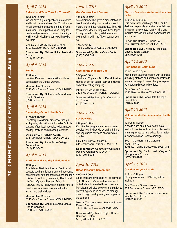### *April 7, 2013*

#### **Refresh and Take Time for Yourself**

#### 12:30pm-3:00pm

We will have a guest speaker on motivation and how to reduce stress. Our Yoga Instructor will do chair massages and basic Yoga instruction. Low impact class on using the bands and pedometer in hopes of starting a walking club. Health screening will also be available.

GAINES UNITED METHODIST CHURCH 5707 MADISON ROAD -CINCINNATI

**Sponsored By:** Gaines United Methodist **Church** (513) 381-8390

### *April 9, 2013*

#### **Zumba**

11:00am

Certified Personal Trainers will provide an age appropriate Zumba workout.

**MIFFLIN HIGH SCHOOL** 3245 OAK SPRING STREET -COLUMBUS

**Sponsored By:** Columbus Area Mental **Health Services** (614) 221-7790

### *April 9, 2013*

#### **Elementary School Health Fair**

11:00am-1:00pm Event targets children, preschool through sixth grade, who will visit information/activity stations of ten local agencies to learn about healthy lifestyles and disease prevention.

**JAMES SINGER ACTIVITY CENTER** 831 MATHEWS STREET -ZANESVILLE

**Sponsored By:** Zane State College **Foundation** (740) 452-5463

### *April 9, 2013*

### **Nutrition and Healthy Relationships**

#### 12:00pm

A registered Dietician/Licensed Dietician will educate youth participants on the Importance of nutrition for both the teen mothers and their children. In addition, Community Health and Life Skills Opportunities and Education (CHLOE, Inc.) will show teen mothers how to handle stressful situations related to their infants and their children.

**MIFFLIN HIGH SCHOOL** 3245 OAK SPRING STREET -COLUMBUS

**Sponsored By:** Columbus Area Mental **Health Services** (614) 221 -7790 Ext 114

### *April 9, 2013*

#### **Got Consent? Art Contest**

#### 4:00pm-6:00pm

Are children will be given a presentation on healthy relationships and what "consent" means within those relationships. They will then express their feelings on these topics through an art contest, with the winners being published in the Akron beacon Journal.

YMCA VORIS 1885 GLENMOUNT AVENUE -AKRON

**Sponsored By:** Rape Crisis Center (330) 690-9744

### *April 9, 2013*

#### **Closing the Diabetes Gap**

5:30pm-7:00pm 45 minutes Yoga and Body Recall Routine. Hands-on portion control activities. Handson healthy eating sampling.

MERCY ST. ANNE HOSPITAL 3404 W. SYLVANIA AVENUE -TOLEDO

**Sponsored By:** Mercy St. Vincent Medical Center (419) 251-2004

### *April 9, 2013*

#### **5-A Day Kids**

7:00pm-9:00pm Kids 5 A day program teaches children to develop healthy lifestyle by eating 5 fruits and vegetables daily and exercising 30 minutes.

**FIRM FOUNDATION MINISTRY** 241 JEFFERSON STREET -RAVENNA

**Sponsored By:** Community Outreach Positive Alternative (COPAT) (330) 297-5933

### *April 10, 2013*

#### **Blood Pressure Screenings**

#### 9:00am-1:00pm

Blood pressure screenings will be provided by LPN's and RN's as well as referrals to individuals with elevated blood pressure. Participants will also be given information to prevent hypertension as well as management through healthy eating and appropriate exercise.

MURTIS TAYLOR HUMAN SERVICE SYSTEM FAMILY CENTER

13411 UNION AVENUE -CLEVELAND

**Sponsored By:** Murtis Taylor Human Services System (216) 283-4400 Ext 2362

### *April 10, 2013*

#### **Step up Diabetes: An Interactive education**

10:00am-12:00pm

This event is for youth ages 10-19 and is designed to provide education about diabetes as well as promote healthy living and exercise through interactive demonstrations and dance.

CLEVELAND CENTRAL CATHOLIC 6550 BAXTER AVENUE -CLEVELAND

**Sponsored By: University Hospitals** Case Medical Center (216) 920-1205

### *April 10, 2013*

#### **High School Health Expo**

10:00am-12:30pm High School students interact with agencies at activity stations and breakout sessions to learn about ways to make changes to prevent certain diseases/disorders.

ZANE STATE COLLEGE 1555 NEWARK ROAD -ZANESVILLE

**Sponsored By:** Zane State College **Foundation** (740) 588-4113

### *April 10, 2013*

#### **Million Hearts Cardiovascular Health Class**

12:00pm-1:00pm A health class about local health data, health disparities and cardiovascular health featuring a speaker and educational material from the Million Hearts campaign.

SOUTH COMMUNITY BEHAVIORAL **HEALTHCARE** 3095 KETTERING BOULEVARD-DAYTON

**Sponsored By:** Public Health-Dayton & Montgomery County (937) 225-4962

### *April 10, 2013*

#### **One day for your health**

1:00pm-5:00pm Blood pressure and HIV testing will be available.

SAN MARCOS SUPERMARKET 235 BROADWAY STREET -TOLEDO

**Sponsored By:** Nuestra Gente Community Projects, Inc. (419) 283-0581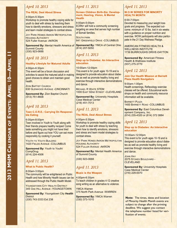### *April 10, 2013*

#### **The REAL Deal About Stress**

#### 4:00pm-5:30pm

Workshop to promote healthy coping skills for youth to deal with stress by teaching them how to identify emotions, stressors and stress and learn model strategies to combat stress.

**JOY PARK HOMES AKRON METROPOLITAN HOUSING AUTHORITY** 524 Fuller Avenue -AKRON

**Sponsored By:** Mental Health America of Summit County (330) 923-0688

### *April 10, 2013*

#### **Healthy Lifestyle for Matured Adults**

4:00pm-6:30pm This event will be a forum discussion and activities to assist the matured adult in making good choices to obtain and maintain good health.

ZION BAPTIST CHURCH 630 GLENWOOD AVENUE -CINCINNATI

**Sponsored By: Zion Baptist Church** (513) 751-8608

### *April 10, 2013*

#### **Teen C.O.R.E.: Carrying On Responsible Eating**

6:00pm-8:00pm

Teen involved in Youth to Youth along with their friends prepare healthy recipes! Come taste something you might not have tried before and figure out how YOU can eat more responsibly by cooking it yourself.

YOUTH TO YOUTH BUILDING 1420 FIELDS AVENUE -COLUMBUS

**Sponsored By:** Youth to Youth/ **CompDrug** (614) 224-4506

### *April 11, 2013*

#### **What is Public Health?**

#### 8:00am-3:00pm

The community will be enlightened on Public Health and how Minority Health issues can be addressed through the Public Health Model.

YOUNGSTOWN CITY HEALTH DISTRICT 345 OAK HILL AVENUE -YOUNGSTOWN

**Sponsored By:** Youngstown City **Health District** (330) 743-3333 Ext 238

### *April 11, 2013*

**Screen Children Birth-Six: Development, Hearing, Vision, & Mental Health**

8:00am-5:00pm ECRN+ will hold a community screening targeting an area that serves high number of Somali families.

SOUTH PARK 841 GREENFIELD DRIVE -COLUMBUS

**Sponsored By:** YMCA of Central Ohio (614) 207-5050

### *April 11, 2013*

**Step up to Diabetes: An Interactive education**

10:00am-12:00pm This event is for youth ages 10-19 and is designed to provide education about diabetes as well as promote healthy living and exercise through interactive demonstrations and dance.

MICHAEL R WHITE STEM 1000 EAST 92ND STREET -CLEVELAND

**Sponsored By: University Hospitals** Case Medical Center (216) 451-7013

### *April 11, 2013*

#### **The REAL Deal About Stress**

#### 4:00pm-5:30pm Workshop to promote healthy coping skills for youth to deal with stress by teaching them how to identify emotions, stressors and stress and learn model strategies to combat stress.

**JOY PARK HONES AKRON METROPOLITAN** HOUSING AUTHORITY 524 FULLER AVENUE -AKRON

**Sponsored By:** Mental Health America of Summit County

(330) 923-0688

### *April 11, 2013*

#### **Music is the Weapon**

4:00pm-6:30pm To teach children in grades 4-12 creative song writing as an alternative to violence.

YMCA Warren 375 North Park Avenue -WARREN

**Sponsored By:** YMCA Warren (330) 373-1010

### *April 11, 2013*

#### **W.O.W SERIES FOR MINORTY HEALTH MONTH**

#### 6:00-7:00pm

Devoted to measuring your weight loss goals and progress. The expected outcome: minimum of 10 lbs. lost in six weeks with a guidance on proper nutrition and exercise. WOW participants will also participate in the 21 Day Wellness Pledge.

AMERICAN FITNESS HEALTH & WELLNESS INSTITUTE 1739 BURROUGHS DRIVE-DAYTON

**Sponsored By: American Fitness** Health & Wellness Institute (937) 275-3770

### *April 12, 2013*

#### **Join Our Health Mission at Barnett Plaza Health Navigators**

9:00am-1:00pm Health screenings, Reflexology exercise classes will be offered. Educational workshops on health and community resource information will be available.

BARNETT PLAZA 1400 BARNETT ROAD -COLUMBUS

**Sponsored By:** East Columbus Development Company, Inc. (614) 235-4320 or (614) 372 0884

### *April 12, 2013*

#### **Step up to Diabetes: An Interactive education**

10:00am-12:00pm

This event is for youth ages 10-19 and is designed to provide education about diabetes as well as promote healthy living and exercise through interactive demonstrations and dance.

JOHN HAY 2075 STOKES BOULEVARD - **CLEVELAND** 

**Sponsored By: University Hospitals** Case Medical Center (216) 229-0070

**Note:** The times, dates and location of Minority Health Month events are subject to change after the printing deadline. We suggest you contact the telephone number listed for verification of events.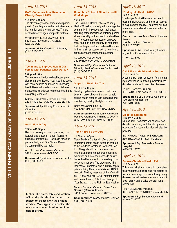### *April 12, 2013*

#### **CAR (Columbus Area Rescue) on Obesity Project 2013**

#### 12:30pm-3:00pm

The elementary school students will participate in 3 exciting fun packed activities teaching nutrition and physical activity. The student will receive age appropriate materials.

WOODCREST ELEMENTARY SCHOOL 5321 EAST LIVINGSTON AVENUE - **COLUMBUS** 

**Sponsored By: Otterbein University** (614) 823-3535

### *April 12, 2013*

#### **Technique to Improve Health Outcomes with Patients: What works?**

#### 2:00pm-4:30pm

This seminar will educate healthcare professionals on technique to maximize time spent with renal patients and focus on improving health literacy (hypertension and diabetes management), addressing mental health and navigating resources.

**KIDNEY FOUNDATION OF OHIO OFFICE** 2831 PROSPECT AVENUE -CLEVELAND

**Sponsored By:** Kidney Foundation of Ohio, Inc. (216) 771-2700

### *April 13, 2013*

#### **Asian Health Day**

7:30am-12:30pm

Health screening for blood pressure, cholesterol, and glucose (10 hour fasting required by participants). Heel scan for osteoporosis, BMI, and Oral Cancer/Dental Screening will be available.

**ALL NATIONS COMMUNITY CHURCH** 5260 HILL AVENUE -TOLEDO

**Sponsored By:** Asian Resource Center (419) 535-5553

**Note:** The times, dates and location of Minority Health Month events are subject to change after the printing deadline. We suggest you contact the telephone number listed for verification of events.

### *April 13, 2013*

#### **Columbus Office of Minority Health Workshops**

#### 10:00am

The Columbus Health Office of Minority Health Workshop is designed to engage the community in dialogue about their understanding of the importance of taking personal responsibility for their health and wellbeing. The workshops (consumer empowerment and men's health) provide resources that can help individuals make a difference in their health encounter with a healthcare professional and their health outcome.

COLUMBUS PUBLIC HEALTH 240 PARSONS AVENUE -COLUMBUS

**Sponsored By:** Columbus Office of Minority Health-Columbus Public Health (614) 645-7335

### *April 13, 2013*

#### **Steps to a Healthier You**

10:30am-2:00pm Small group breakout sessions with nutritionists, nurse, physical therapist to help outline health steps to take in making and maintaining healthy lifestyle choices.

REED MEMORIAL LIBRARY **167 FAST MAIN STREET-RAVENNA** 

**Sponsored By: Community Outreach** Positive Alternative Training (COPAT) (330) 297-5933 or (330) 327-6554

### *April 13, 2013*

#### **Think Pink: Be the Cure!**

#### 11:00am-1:00pm

Mercy Medical Center will offer a quality, interactive breast health outreach program to the residents located in Northeast Canton. The goals will be to address breast health disparities through awareness and education and increase access to quality breast health care for those residing in minority communities. The program will be innovative, interactive, and culturally appropriate utilizing Mercy's established ANGEL network. The key message of the effort will be: 1 Know your risk; 2. Get Mammograms and Breast Exams; 3. Notices Changes to Your Breasts; 4. Live Right to Stay Healthy.

**MERCY PRIMARY CARE AT SAINT PAUL** SQUARE (MEDICAL HOME) 1459 Superior Avenue -CANTON

**Sponsored By:** Mercy Medical Center (330) 489-1000

### *April 13, 2013*

#### **"Spring Into Health 2013"**

12:00pm-3:00pm Youth ages 8-14 will learn about healthy eating, bullying/safety and physical activity to help combat obesity. The event will also feature an educational presentation by Library staff.

CHILLICOTHE AND ROSS PUBLIC LIBRARY **ANNEX** 

146 SOUTH PAINT STREET - **CHILLICOTHE** 

**Sponsored By:** Ross County Community Action Commission, Inc.

**(740) 702-4160**

### *April 13, 2013*

#### **C.O.P.E Health Education Forum** 12:00pm-4:00pm

A community health education forum featuring speakers on nutrition, physical fitness, diabetes and cardiovascular diseases.

**TRINITY BAPTIST CHURCH 461 SAINT CLAIR AVENUE - COLUMBUS** 

**Sponsored By:** Columbus Coalition of 100 Black Women, Inc. (614) 258-9583

### *April 13, 2013*

#### **Diabetes Screening**

1:30pm-4:30pm Nurses from Promedica will conduct free diabetes screening and diabetes prevention education. Self-care education will also be provided.

SAN MARCOS TAQUERIA & GROCERY 235 BROADWAY STREET -TOLEDO

**Sponsored By:** Promedica Toledo **Hospital** (419) 291-5573

### *April 14, 2013*

#### **Salaam Cleveland Health Fair** 11:00am-3:00pm

This event will share information on diabetes symptoms, statistics and risk factors as well as share ways to prevent this growing disease. We will review how to make ethnic food healthy and provide general health screenings.

**FIRST CLEVELAND MOSQUE** 3613 EAST 131ST STREET-CLEVELAND

**Sponsored By:** Salaam Cleveland (440) 463-6076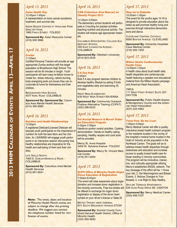### *April 15, 2013*

#### **Asian Health Day** 12:45pm-1:45pm A representation on bone cancer-symptoms, treatment, and survival rate.

ASIAN SENIOR CENTER AT HIGHLAND PARK **SHELTER HOSE** 1865 FINCH STREET -TOLEDO

**Sponsored By: Asian Resource Center** (419) 936 2866

### *April 16, 2013*

#### **Zumba**

### 11:00am

Certified Personal Trainers will provide an age appropriate Zumba workout with the target population at Brookhaven High School. The session will be 40 minutes in length. Youth participants will learn easy-to-follow moves to create fun, stress reducing, calorie burning, body energizing work out moves they can incorporate at home for themselves and their children.

**BROOKHAVEN HIGH SCHOOL** 4077 KARL ROAD -COLUMBUS

**Sponsored By: Sponsored By:** Columbus Area Mental Health Services (614) 365-5985

### *April 16, 2013*

#### **Nutrition and Health Relationships** 12:00pm

A registered Dietician/Licensed Dietician will educate youth participants on the importance of nutrition for both the teen Mom and her children. An LSW/MSW will engage youth participants in an interactive session discussing how healthy relationships are imperative for the health and well-being of them and their children.

**LIFE SKILLS NORTH** 1900 E. DUBLIN-GRANVILLE ROAD - **COLUMBUS** 

**Sponsored By:** Columbus Area Mental **Health Services** (614) 891-9041

**Note:** The times, dates and location of Minority Health Month events are subject to change after the printing deadline. We suggest you contact the telephone number listed for verification of events.

### *April 16, 2013*

#### **CAR (Columbus Area Rescue) on Obesity Project 2013**

#### 12:30am-3:00pm

The elementary school students will participate in 3 exciting fun packed activities teaching nutrition and physical activity. The student will receive age appropriate materials.

COLUMBUS AFROCENTRIC COLLEGE ELE-**MENTARY SCHOOL** 300 EAST LIVINGSTON AVENUE - **COLUMBUS** 

**Sponsored By: Otterbein University** (614) 823-3535

### *April 16, 2013*

#### **5-A Day Kids** 2:00pm

Kids 5 A day program teaches children to develop healthy lifestyle by eating 5 fruits and vegetables daily and exercising 30 minutes.

WEST MAIN ELEMENTARY 639 WEST MAIN STREET-RAVENNA

**Sponsored By: Community Outreach** Positive Alternative Training (COPAT) (330) 296-6522

### *April 16, 2013*

#### **3rd Annual Measure & Munch Diabetes Education Program**

5:30pm-7:00pm Hands-on portion control activities. Cooking demonstration. Hands-on healthy eating sampling. Healthy recipes and cook book will be provided.

Mercy St. Anne Hospital 3404 W. Sylvania Avenue -TOLEDO

**Sponsored By:** Mercy St. Vincent Medical Center (419) 251-2004

### *April 17, 2013*

#### **SCPH Office of Minority Health Organ Donor Education & Registration** 7:00am-6:00pm

This event will raise awareness about organ donation and increase donor registration in the minority community. Free bus tickets will be offered in exchange for organ donor registration or display of the donor heart symbol on your driver's license or State ID.

METRO TRANSIT MAIN TERMINAL 631 SOUTH BROADWAY AVENUE-STOW

**Sponsored By:** Summit County Combined General Health District, Office of Minority Health (330) 926-5650

### *April 17, 2013*

### **Step Up to Diabetes**

10:00am-1:00pm This event for the youths ages 10-19 is designed to provide education about diabetes as well promote healthy living and exercise through interactive demonstrations and dance.

CLEVELAND CENTRAL CATHOLIC 6550 BAXTER AVENUE -CLEVELAND

**Sponsored By: University Hospitals** Case Medical Center (216) 920-1205

### *April 17, 2013*

#### **Million Hearts Cardiovascular Health Class**

12:00pm-1:00pm A health class about local health data, health disparities and cardiovascular health featuring a speaker and educational material from the Million Hearts campaign and American Heart Association.

**YMCA** 111 WEST FIRST STREET SUITE 207- **DAYTON** 

**Sponsored By:** Public Health-Dayton & Montgomery County and the American Heart Association (937) 225-4962

### *April 17, 2013*

#### **Think Pink: Be the Cure!**  1:00pm-3:00pm

Mercy Medical Center will offer a quality, interactive breast health outreach program to the residents located in the vicinity of the hospital's medical home located in the heart of minority at-risk population in the Northeast Canton. The goals will be to address breast health disparities through awareness and education and increase access to quality breast health care for those residing in minority communities. The program will be innovative, interactive, and culturally appropriate utilizing Mercy's established ANGEL network. The key message of the effort will be: 1 Know your risk; 2. Get Mammograms and Breast Exams; 3. Notices Changes to Your Breasts; 4. Live Right to Stay Healthy.

**SKYLINE TERRACE APARTMENTS** 635 ALAN PAGE DRIVE SE -CANTON

**Sponsored By:** Mercy Medical Center (330) 456-7237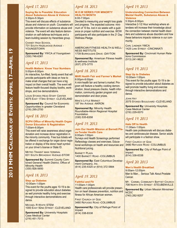### *April 17, 2013*

#### **Saying No Is Possible: Education About Substance Abuse & Violence** 3:30pm-5:30pm

This event will discuss effects of substance abuse and violence on youth. Counselors will provide information on substance abuse and violence. The event will also feature demonstration on self-defense techniques and a team-building session by Harambee group.

**CHANEY HIGH SCHOOL** 731 SOUTH HAZELWOOD AVENUE - YOUNGSTOWN

**Sponsored By:** YWCA of Youngstown (330) 746-6361

### *April 17, 2013*

#### **Health Matters: Know Your Numbers** 5:00pm-8:00pm

An interactive, fun-filled, family event that will provide participants with ideas on how to make small changes that can have a big impact on their overall health. The event will feature health-focused display booths, workshops, and live demonstrations.

LOUIS STOKES HEAD START CENTER 4075 EAST 173RD STREET -CLEVELAND

**Sponsored By: Council for Economic** Opportunities in greater Cleveland (216) 295-2700

### *April 18, 2013*

#### **SCPH Office of Minority Health Organ Donor Education & Registration** 7:00am-6:00pm

This event will raise awareness about organ donation and increase donor registration in the minority community. Free bus tickets will be offered in exchange for organ donor registration or display of the donor heart symbol on your driver's license or State ID.

METRO TRANSIT MAIN TERMINAL 631 SOUTH BROADWAY AVENUE-STOW

**Sponsored By:** Summit County Combined General Health District, Office of Minority Health (330) 926-5650

### *April 18, 2013*

### **Step up Diabetes**

10:00am-1:00pm This event for the youths ages 10-19 is designed to provide education about diabetes as well promote healthy living and exercise through interactive demonstrations and dance.

MICHAEL R WHITE STEM 1000 EAST 92ND STREET -CLEVELAND

**Sponsored By: University Hospitals** Case Medical Center (216) 451-7013

### *April 18, 2013*

#### **W.O.W SERIES FOR MINORTY HEALTH MONTH** 6:00-7:00pm

Devoted to measuring your weight loss goals and progress. The expected outcome: minimum of 10 lbs. lost in six weeks with a guidance on proper nutrition and exercise. WOW participants will also participate in the 21 Day Wellness Pledge.

#### AMERICAN FITNESS HEALTH & WELL-NESS INSTITUTE 1739 BURROUGHS DRIVE -DAYTON

**Sponsored By:** American Fitness health & wellness Institute (937) 275-3770

### *April 18, 2013*

#### **MHR Health Fair and Farmer's Market** 6:00pm-8:00pm

A mini-health fair and farmer's market. Program will feature a healthy cooking demonstration, blood pressure checks, health information, community garden program and demonstration and door prizes.

**MIKE'S LITTLE MARKET** 187 IRA AVENUE -AKRON

**Sponsored By:** Minority Health Roundtable-Akron Regional Hospital **Foundation** (330) 535-6358

### *April 19, 2013*

#### **Join Our Health Mission at Barnett Plaza-Tender Health Care** 9:00am-1:00pm

Surveys and Health Screenings performed Reflexology classes and exercises. Educational workshops on health and resourcee and Nutritional juicing.

BARNETT PLAZA 1400 BARNETT ROAD -COLUMBUS

**Sponsored By:** East Columbus Development Company, Inc. (614) 235-4320 or (614) 372 0884

### *April 19, 2013*

#### **Faithful and Fit**

#### 11:00am-1:00pm Health care professionals will provide presention on heart disease prevention, nutrition and fitness for African American women.

FIRST CHURCH OF GOD 3480 REFUGEE ROAD -COLUMBUS

**Sponsored By:** City of Refuge Point of Impact (614) 338-8338

### *April 19, 2013*

#### **Understanding Connection Between Mental Health, Substance Abuse & Violence**

5:30pm-8:00pm

Interactive 2-1/2 Hour workshop where attendees will increase their knowledge about the connection between mental health disorders and substance abuse disorders and how these behaviors impacts violence in our community.

CARL LINDNER YMCA 1425 LINN STREET -CINCINNATI

**Sponsored By:** Cincinnati Human Relations Commission (513) 241-9622

### *April 19, 2013*

#### **Step Up to Diabetes** 10:00am-1:00pm

This event for the youths ages 10-19 is designed to provide education about diabetes as well promote healthy living and exercise through interactive demonstrations and dance.

JOHN HAY 2075 STOKES BOULEVARD -CLEVELAND

**Sponsored By: University Hospitals** Case Medical Center (216) 229-0070

### *April 19, 2013*

#### **Hats Off to Health** 11:00am-1:00pm Health care professionals will discuss diabetes and cardiovascular disease. Senior adults will participate in a fashion show.

**FIRST CHURCH OF GOD** 3480 REFUGEE ROAD -COLUMBUS

**Sponsored By:** City of Refuge Point of Impact (614) 338-8338

### *April 20, 2013*

#### **Men's Health Breakfast**  9:00am-12:00pm Man to Man… Serious Talk About Prostate Cancer.

**MT. CARMEL COMMUNITY BAPTIST CHURCH** 708 NORTH 5TH STREET -STEUBENVILLE

**Sponsored By:** Urban Mission Ministries/ NCDC (740) 282-9257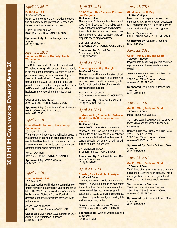### *April 20, 2013*

### **Faithful and Fit**

9:00am-2:00pm Health care professionals will provide presentation on heart disease prevention, nutrition and fitness for African American women.

**FIRST CHURCH OF GOD** 3480 REFUGEE ROAD -COLUMBUS

**Sponsored By:** City of Refuge Point of Impact (614) 338-8338

### *April 20, 2013* **Columbus Office of Minority Health Workshops**

10:00am

The Columbus Health Office of Minority Health Workshop is designed to engage the community in dialogue about their understanding of the importance of taking personal responsibility for their health and wellbeing. The workshops (consumer empowerment and men's health) provide resources that can help individuals make a difference in their health encounter with a healthcare professional and their health outcome.

COLUMBUS PUBLIC HEALTH 240 PARSONS AVENUE -COLUMBUS

**Sponsored By: Columbus Office of Minority** Health, Columbus Public Health (614) 645-7335

### *April 20, 2013*

#### **Mental Health Issues in the Minority Community**

#### 10:00am-12:00pm

The program will address mental health issues in the community, provide an explanation of what mental health is, how to remove barriers in order to seek treatment, where to seek treatment and common myths about mental health.

YWCA WARREN 375 NORTH PARK AVENUE -WARREN

**Sponsored By:** YWCA Warren (330) 373-1010

### *April 20, 2013*

#### **Minority Health Fair**

10:00am-3:00pm Breakout sessions will include presentations on "Infant Mortality" presented by Dr. Penora Jones, MD, OB/GYN. "Food demonstrations" conducted by Registered Dietician, Connie Kendricks, demonstrating food preparation for those living with diabetes.

AGAPE LOVE MINISTRIES 4013 COLUMBUS AVENUE -SANDUSKY

**Sponsored By:** Agape Love Ministries DBA Agape Love Ministries Outreach (419) 624-0825

### *April 20, 2013*

#### **SCAO Youth Day Diabetes Prevention Program**  10:00am-5:00pm

The purpose of this event is to teach youth ages 12 to 18 basic self-care habits especially nutritional awareness and physical fitness. Activities include: food demonstrations, preventive health education, age appropriate sports program/games.

COFFEE NAZIONALE 3350 CLEVELAND AVENUE -COLUMBUS

**Sponsored** BY**:** Somali Community Association of Ohio (614) 377-9297

### *April 20, 2013*

#### **Choosing a Healthy Lifestyle** 10:00am-2:00pm

The health fair will feature diabetes, blood pressure, HIV/AIDS and vision screenings men and women health discussions, activities for youth and nutritional and cooking activities will be included.

ZION BAPTIST CHURCH 630 GLENWOOD AVENUE -CINCINNATI

**Sponsored By:** Zion Baptist Church (513) 751-8608 Ext. 14

### *April 20, 2013*

#### **Understanding Connection Between Mental Health, Substance Abuse & Violence**

10:00am-3:00pm

Interactive 5-Hour workshop where attendees will learn about the risk factors that contributes to the increase of violent behaviors when mental health disorders exist. A panel discussion will be presented that will include personal experiences.

CARL LINDNER YMCA 1425 LINN STREET -CINCINNATI

**Sponsored By:** Cincinnati Human Relations Commission (513) 241-9622

### *April 20, 2013*

#### **Cooking for a Healthier Lifestyle** 11:00am-2:00pm

Learn how to cook healthier and more economical. This will be a hands on demonstration with lecture. Taste the samples of the demo. We will test your knowledge with quizzes and reward you with incentives. So brush up on your knowledge of healthy fats and aromatics and herbs.

GAINES UNITED METHODIST CHURCH 5707 MADISON ROAD -CINCINNATI

**Sponsored By:** Gaines United Methodist Church (513) 381-8390

### *April 21, 2013*

### **Children's Health Day**

11:00am-2:00pm Learn how to be prepared in case of an emergency at Children's Health Day. Learn CPR and basic first aid. Have fun learning about healthy eating and good hygiene.

MASJID RASOOL-ULLAH 9400 DETROIT AVENUE -CLEVELAND

**Sponsored By:** Salaam Cleveland (617) 835-9227

### *April 22, 2013*

### **Get Fit: Mind, Body and Spirit!**

10:30am-11:00am Physical activity can help prevent and manage diabetes. All fitness levels are welcome!

**SENIOR OUTREACH SERVICES THE LANG-STON HUGHES CENTER** 2390 EAST 79TH STREET AT QUINCY AVENUE -CLEVELAND

**Sponsored By:** Senior Outreach Services, Inc. (216) 231-0003

### *April 22, 2013*

**Get Fit: Mind, Body and Spirit!** 11:00am-12:00pm Music Therapy for Wellness.

Summary: Learn how music can be used to lower stress and for chronic illness pain/ management.

**SENIOR OUTREACH SERVICES THE LANG-STON HUGHES CENTER** 2390 EAST 79TH STREET AT QUINCY AVENUE-CLEVELAND

**Sponsored By:** Senior Outreach Services, Inc. (216) 231-0003

## *April 23, 2013*

#### **Get Fit: Mind, Body and Spirit!** 10:30am-11:30am

Tai Chi and other exercises can aid in managing and preventing heart disease. This is a nice gentle exercise that's great for all fitness levels. All fitness levels welcome.

**SENIOR OUTREACH SERVICES** THE LANGSTON HUGHES CENTER 2390 EAST 79TH STREET AT QUINCY AVENUE -CLEVELAND

**Sponsored By:** Senior Outreach Services, Inc. (216) 231-0003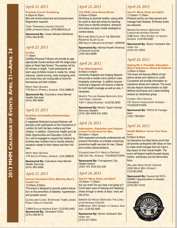### *April 23, 2013*

#### **Prostate Cancer Screening** 4:30pm-6:30pm Men will receive blood test and physical exam. Registration required.

**TONY TERAMANA CANCER CENTER** 3200 JOHNSON ROAD -STEUBENVILLE

**Sponsored By:** Urban Mission Ministries (740) 264-8700

### *April 23, 2013*

### **Zumba**

### 11:00am

Certified Personal Trainers will provide an age appropriate Zumba workout with the target population at West High School. The session will be 40 minutes in length. Youth participants will learn easy-to-follow moves to create fun, stress reducing, calorie burning, body energizing work out moves they can incorporate at home for themselves and their children.

WEST HIGH SCHOOL **179 SOUTH POWELL AVENUE - COLUMBUS** 

**Sponsored By:** Columbus Area Mental Health Services (614) 365-5956

### *April 23, 2013*

#### **Nutrition and Healthy Relationships** 12:00pm

A registered Dietician/Licensed Dietician will educate youth participants on the Importance of nutrition for both the teen mothers and their children. In addition, Community Health and Life Skills Opportunities and Education (CHLOE, Inc.) will be engaged to support this initiative by showing teen mothers how to handle stressful situations related to their infants and their children.

WEST HIGH SCHOOL **179 SOUTH POWELL AVENUE - COLUMBUS** 

**Sponsored By:** Columbus Area Mental **Health Services** (614) 365-5956

### *April 23, 2013*

#### **Annual Cleveland Clinic Minority Men's Health Fair**

12:00pm-2:00pm This event is designed to provide patient education on the prevention of diabetes, hypertension, and prostate cancer.

CLEVELAND CLINIC: STEPHANIE TUBBS JONES FAMILY HEALTH CENTER

13944 EUCLID AVENUE EAST -CLEVELAND **Sponsored By:** Cleveland Clinic (216) 256-6412

### *April 23, 2013*

### **The REAL Deal About Stress**

3:00pm-5:00pm Workshop to promote healthy coping skills for youth to deal with stress by teaching them how to identify emotions, stressors and stress and learn model strategies to combat stress.

BOYS AND GIRLS CLUB OF THE WESTERN RESERVE ELLER CLUB **550 SOUTH ARLINGTON STREET - AKRON** 

**Sponsored By:** Mental Health America of Summit County (330) 923-0688

### *April 24, 2013*

### **Free Mammograms**

9:00am-3:00pm University Hospitals and Imaging Network will provide a mobile unit to perform mammography screenings. In addition anyone receiving a diagnosis will receive a referral for both health coverage as well as care, if necessary.

**MURTIS TAYLOR HUMAN SERVICES SYS-**TEM FAMILY CENTER 13411 UNION AVENUE -CLEVELAND

**Sponsored By:** Murtis Taylor Human Services System (216) 283-4400 Ext 2362

### *April 24, 2013*

#### **Information, Education and Empowerment Conference for Men** 09:30am-1:30pm

Well respected community professionals will present information on prostate screenings, preventive health services for men, fitness and nutrition demonstrations.

YOUNGSTOWN CITY HEALTH DISTRICT 345 OAK HILL AVENUE -YOUNGSTOWN

**Sponsored By:** Youngstown City Health District (330) 743 3333 Ext 238

### *April 24, 2013*

#### **Get Fit: Mind, Body and Spirit**

10:00am-11:00am Are you tired? Do you have a lot going on? Come learn ways of relaxing and releasing stress through a variety of ways; many are lots of fun.

**SENIOR OUTREACH SERVICES THE LANG-STON HUGHES CENTER** 2390 EAST 79TH STREET AT QUINCY AVE-NUE -CLEVELAND

**Sponsored By:** Senior Outreach Services, Inc. (216) 231-0003

### *April 24, 2013*

#### **Get Fit: Mind, Body and Spirit** 11:00am-11:30am Physical activity can help prevent and manage heart disease. All fitness levels

are welcome. SENIOR OUTREACH SERVICES THE LANGSTON HUGHES CENTER 2390 EAST 79TH STREET AT QUINCY

**Sponsored By:** Senior Outreach Services, Inc. (216) 231-0003

### *April 24, 2013*

AVENUE -CLEVELAND

#### **Saying No is Possible: Education About Substance Abuse & Violence** 3:30pm-5:30pm

This event will discuss effects of substance abuse and violence on youth. Counselors will provide information on substance abuse and violence. The event will also feature demonstration on Selfdefense techniques and a team-building session by Harambee group.

CHANEY HIGH SCHOOL 731 SOUTH HAZELWOOD AVENUE - **YOUNGSTOWN** 

**Sponsored By:** YWCA of Youngstown (330) 746-6361

### *April 24, 2013*

#### **Health Matters: Know Your Numbers**

5:00pm-8:00pm

An interactive fun-filled family event that will provide participants with ideas on how to make small changes that can have a big impact on their overall health. The event will feature health-focused display booths, workshops and live demonstrations.

WILLARD HEAD START CENTER 2220 WEST 95TH STREET - CLEVELAND

**Sponsored By:** Council for ECO-NOMIC Opportunities in Greater **Cleveland** (216) 651-5154

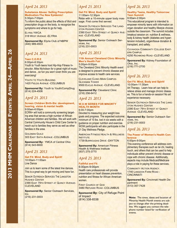### *April 24, 2013*

#### **Substance Abuse: Selling Prescription Medication-The New Epidemic!** 5:30pm-7:00pm

To inform the public about the effects of illicit and prescription drugs on the body, to recognize the symptoms and where to go for help.

ELYRIA YWCA 318 WEST AVENUE -ELYRIA

**Sponsored By:** Elyria Club of NBPW (440) 989-4933

### *April 24, 2013*

### **Teen C.O.R.E**

6:00pm-8:30pm

Youth to Youth teens host Hip-Hop Fitness Instructor, Mike Nicholson for a great night of music and dance…so fun you won't even think you are exercising!

YOUTH TO YOUTH BUILDING 1420 FIELDS AVENUE -COLUMBUS

**Sponsored By:** Youth to Youth/CompDrug (614) 224-4506

### *April 25, 2013*

**Screen Children Birth-Six: development, hearing, vision & mental health** 9:00am-6:00pm

ECRN+ will hold a community screening targeting area that serves a high number of African American children and families. We will work with Central Community House's Child Care Center to reach out to families they serve as well as other families in the area.

**GOLDMAN GUILD** 303 EAST SIXTH AVENUE -COLUMBUS

**Sponsored By: YMCA of Central Ohio** (614) 543-9000

### *April 25, 2013*

**Get Fit: Mind, Body and Spirit!** 10:00am-11:00am Line Dance

Join us to learn some of the latest line dances. This is a great way to get moving and have fun.

**SENIOR OUTREACH SERVICES THE LANGSTON** HUGHES CENTER 2390 EAST 79TH STREET AT QUINCY AVENUE-**CLEVELAND** 

**Sponsored By:** Senior Outreach Services, Inc.

(216) 231-0003

### *April 25, 2013*

**Get Fit: Mind, Body and Spirit!** 11:00am-12:30pm Relax with a 10-minute upper body massage. First come first served.

**SENIOR OUTREACH SERVICES THE LANG-**STON HUGHES CENTER 2390 EAST 79TH STREET AT QUINCY AVE-NUE -CLEVELAND

**Sponsored By:** Senior Outreach Services, Inc. (216) 231-0003

*April 25, 2013*

#### **11th Annual Cleveland Clinic Minority Men's Health Fair** 5:00pm-9:00pm

The Cleveland Clinic Minority Health event is designed to prevent chronic disease and improve access to health care services.

CLEVELAND CLINIC-MAIN CAMPUS-**GLICKMAN TOWER** 9500 EUCLID AVENUE - CLEVELAND

**Sponsored By: Cleveland Clinic** (216) 256-6412

*April 25, 2013*

#### **W.O.W SERIES FOR MINORTY HEALTH MONTH** 6:00-7:00pm

Devoted to measuring your weight loss goals and progress. The expected outcome: minimum of 10 lbs. lost in six weeks with a guidance on proper nutrition and exercise. WOW participants will also participate in the 21 Day Wellness Pledge.

**AMERICAN FITNESS HEALTH & WELLNESS INSTITUTE** 

1739 BURROUGHS DRIVE -DAYTON

**Sponsored By:** American Fitness **Health & Wellness Institute** (937) 275-3770

### *April 25, 2013*

### **Faithful and Fit**

6:00pm-9:00pm Health care professionals will provide presentation on heart disease prevention, nutrition and fitness for African American women.

FIRST CHURCH OF GOD 3480 REFUGEE ROAD -COLUMBUS

**Sponsored By:** City of Refuge Point of Impact (614) 338-8338

### *April 26, 2013*

#### **Healthy Teens, Healthy Tomorrow: Teen Summit** 9:00am-2:00pm

This educational program is intended to empower minority teens with information on organ donation and healthy lifestyle choices outside the classroom. The summit includes breakout session on: nutrition & wellness, body & kidney health (diabetes and hypertension included), organ/tissue donation & transplant, and safety.

CUYAHOGA COMMUNITY COLLEGE EAST-ERN CAMPUS

4250 RICHMOND ROAD -CLEVELAND

**Sponsored By:** Kidney Foundation of Ohio, Inc. (216) 771-2700

### *April 26, 2013*

#### **Get Fit: Mind, Body and Spirit!** 10:00am-11:30am

Art Therapy. Learn how art can help to relieve stress and manage chronic diseases. This is fun a hands-on session! No art experience necessary.

**SENIOR OUTREACH SERVICES THE LANG-**STON HUGHES CENTER 2390 EAST 79TH STREET AT QUINCY AVENUE -CLEVELAND

**Sponsored By:** Senior Outreach Services, Inc. (216) 231-0003

### *April 26, 2013*

**The Power of Women's Health Conference**

6:00pm-9:00pm

This evening conference will address complimentary therapies such as tai chi, healing touch, and others that can be used to help individuals either prevent chronic disease or cope with chronic disease. Additionally, aspects may include Medicaid/Medicare plays a role in paying for these services.

COMMUNITY ACTION AGENCY. 1740 LANGDON FARM ROAD - **CINCINNATI** 

**Sponsored By:** Cincinnati Health Department (513) 357-7428

**Note:** The times, dates and location of Minority Health Month events are subject to change after the printing deadline. We suggest you contact the telephone number listed for verification of events.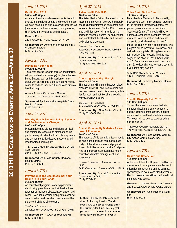### *April 27, 2013*

#### **Cardio Fest 2013** 8:00am-12:00pm

A variety of festive cardiovascular activities with over 20 informational booths and screenings. We will have speakers to discuss our wellness issues (cancer, obesity, heart disease, blood pressure, HIV/AIDS, family violence and diabetes).

RAMADA PLAZA 2301 WAGONER FORD ROAD -DAYTON

**Sponsored By:** American Fitness Health & Wellness Institute (937) 275-3770

### *April 27, 2013*

### **Managing Your Health**

9:00am-12:00pm

This event geared towards children and families, will provide health screenings(BMI, hypertension, Blood Sugars, etc.) and discussion of health status with participants along with providing education to address their health needs and promote healthy living.

ADAMS AVENUE CHURCH OF CHRIST 10407 ADAMS AVENUE -CLEVELAND

**Sponsored By: University Hospitals Case** Medical Center (216) 541-2210

### *April 27, 2013*

#### **Minority Health Summit: Policy, Systems and Environmental Change** 9:00am-12:00pm

Presentations and dialogue with local political and community leaders and members of the public on ways to alter the local policy, systems and environmental landscape in ways that will lead towards health equity.

**THE TOLEDO HOSPITAL EDUCATION CENTER AUDITORIUM** 

2113 HUGHES DRIVE -TOLEDO

**Sponsored By: Lucas County Regional** Health District (419) 279-0464

### *April 27, 2013*

#### **Prevention is the Best Medicine: Your Health is in Your Hands!** 9:30am-1:00pm

An educational program informing participants about being proactive about their health. Featured topics include diabetes, hypertension and cancer. A Zumba session along with a cooking demonstration and free chair massages will be the other highlights of the event.

YWCA OF YOUNGSTOWN 25 WEST RAYEN AVENUE -YOUNGSTOWN

**Sponsored By:** YWCA of Youngstown (330) 746-6361

### *April 27, 2013*

#### **Asian Health Fair 2013** 10:00am-2:00pm

The Asian Health Fair will be a health promotion and prevention event with culturally specific health information and screenings for Asian American in Central Ohio. Screenings and information will include but not limited to cancer, diabetes, vision hypertension, cholesterol, healthy diet and exercise, and violence prevention.

CAPITAL CITY CHURCH 1290 OLD HENDERSON ROAD-UPPER ARLINGTON

**Sponsored By**: Asian American Community Services (614) 220-4023 Ext 224

### *April 27, 2013*

#### **Choosing a Healthy Lifestyle** 10:00am-2:00pm

The health fair will feature diabetes, blood pressure, HIV/AIDS and vision screenings men and women health discussions, activities for youth and nutritional and cooking activities will be included.

ZION BAPTIST CHURCH 630 GLENWOOD AVENUE -CINCINNATI

**Sponsored By:** Zion Baptist Church (513) 751-8608 Ext. 14

### *April 27, 2013*

#### **Somali Community Diabetes Awareness & Prevention**  10:00am-5:00pm

The purpose of this event is to teach adults, 18 and older, basic self-care habits especially nutritional awareness and physical fitness. Activities include: healthy food planning demonstrations, preventative health education, diabetes management, and screenings.

**SOMALI COMMUNITY ASSOCIATION OF** OHIO

3422 CLEVELAND AVENUE -COLUMBUS

**Sponsored By:** Somali Community Association of Ohio (614) 337-2442

**Note:** The times, dates and location of Minority Health Month events are subject to change after the printing deadline. We suggest you contact the telephone number listed for verification of events.

### *April 27, 2013*

#### **Think Pink: Be the Cure!** 11:00am-1:00pm

Mercy Medical Center will offer a quality; interactive breast health outreach program to the residents located the heart of the poorest, most underserved section of Southeast Canton. The goals will be to address breast health disparities through awareness and education and increase access to quality breast health care for those residing in minority communities. The program will be innovative, interactive, and culturally appropriate utilizing Mercy's established ANGEL network. The key messages of the effort will be: 1. Know your risk; 2. Get mammograms and breast exams; 3. Notices changes to your breasts; 4. Live right to stay healthy.

SHERRICK ROAD CHURCH OF GOD **1121 SHERRICK ROAD -CANTON** 

**Sponsored By:** Mercy Medical Center (330) 456-1165

### *April 27, 2013*

#### **"Health Disparity Fair 2013"**  11:00am-3:00pm

This will be a health fair event featuring numerous health and safety vendors, a healthy cooking demonstration, exercise demonstration and health/safety speakers. This event will be geared towards adults age 18 and up.

**THE ROSS COUNTY SERVICE CENTER** 475 WESTERN AVENUE -CHILLICOTHE

**Sponsored By:** Ross County Community Action Commission, Inc. (740) 702-3120

### *April 27, 2013*

#### **Health and Safety Fair** 12:00pm-5:00pm

At the event the Ohio Hispanic Coalition will also work with local partners to offer health education presentations and screenings, specifically eye exams and blood pressure. Health presentations will be conducted to all members who attend.

**GLENWOOD UNITED METHODIST CHURCH** 2833 VALLEYVIEW DRIVE -COLUMBUS

**Sponsored By:** Ohio Hispanic Coalition (614) 840-9934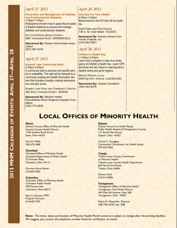### *April 27, 2013*

**Prevention and Management of Diabetes and Cardiovascular Diseases** 1:00pm-7:00pm

Participants will learn how to apply the principles of Eastern Medicine to prevent and manage diabetes and cardiovascular diseases.

DAYTON KOREAN GRACE CHURCH 2661 HARSHMAN ROAD -SPRINGFIELD

**Sponsored By:** Dayton Area Korean Association

(937) 667-0230

### *April 27, 2013*

#### **Summit Lake Community Walk** 2:00pm-4:00pm

A community walk to exercise and identify barriers to walkability. The walk will be followed by a community meeting and health information session that includes a healthy cooking demonstration and door prizes.

SUMMIT LAKE PARK AND COMMUNITY CENTER 380 WEST CROSIER STREET -AKRON

**Sponsored By:** Minority Health Roundtables-Akron Regional Hospital Foundation (330) 375-2826

### *April 28, 2013*

**One Day For Your Health** 9:00am-3:00pm Blood pressure and HIV test will be available.

Saint Peter and Paul Church 738 S. St. Clair Street -TOLEDO

**Sponsored By:** Nuestra Gente Community Projects, Inc. (419) 283-0581

*April 28, 2013*

#### **Children's Health Day**

11:00am-2:00pm Learn how to prepare in case of an emergency at Children's Health Day. Learn CPR and basic first aid. Have fun learning about healthy eating and good hygiene.

MASJID RASOOL-ULLAH 9400 DETROIT AVENUE -CLEVELAND

**Sponsored By:** Salaam Cleveland (440) 463-6076

## **LOCAL OFFICES OF MINORITY HEALTH**

#### **Akron**

Summit County Office of Minority Health Summit County Health District 1100 Graham Road Circle Stow, Ohio 44224

Derrick Willis 330-375-2489

#### **Cleveland**

Cleveland Office of Minority Health Cleveland Department of Public Health 75 Erieview Plaza Cleveland, Ohio 44114

Director Karen Butler 216-664-3052

#### **Columbus**

Columbus Office of Minority Health Columbus Public Health 240 Parsons Ave Columbus, Ohio 43215

Ryan E. Johnson, MPH Program Director 614-645-7335

#### **Dayton**

Dayton Council on Health Equity Public Health-Dayton & Montgomery County 117 South Main Street Dayton, Ohio 45422

Cheryl C. Scroggins Community Coordinator for Health Equity 937-225-4962

#### **Toledo**

Toledo Lucas County Commission on Minority Health Toledo-Lucas County Health Department 635 North Erie Street Toledo, Ohio 43604

Dennis Hicks 419-213-4095

#### **Youngstown**

Youngstown Office of Minority Health Youngstown City Health District 345 Oak Hill Avenue, Suite 200 Youngstown, Ohio 44502

Felicia M. Alexander, Director 330-743-3333 ext. 238

**Note:** The times, dates and location of Minority Health Month events are subject to change after the printing deadline. We suggest you contact the telephone number listed for verification of events.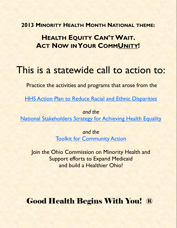**2013 MINORITY HEALTH MONTH NATIONAL THEME:**

## **HEALTH EQUITY CAN'TWAIT. ACT NOW INYOUR COMMUNITY!**

# This is a statewide call to action to:

Practice the activities and programs that arose from the

**[HHS Action Plan to Reduce Racial and Ethnic Disparities](http://www.minorityhealth.hhs.gov/npa/files/Plans/HHS/HHS_Plan_complete.pdf)** 

*and the*  [National Stakeholders Strategy for Achieving Health Equality](http://minorityhealth.hhs.gov/npa/templates/content.aspx?lvl=1&lvlid=33&ID=286)

> *and the*  **[Toolkit for Community Action](http://www.minorityhealth.hhs.gov/npa/files/Plans/Toolkit/NPA_Toolkit.pdf)**

Join the Ohio Commission on Minority Health and Support efforts to Expand Medicaid and build a Healthier Ohio!

Good Health Begins With You! ®